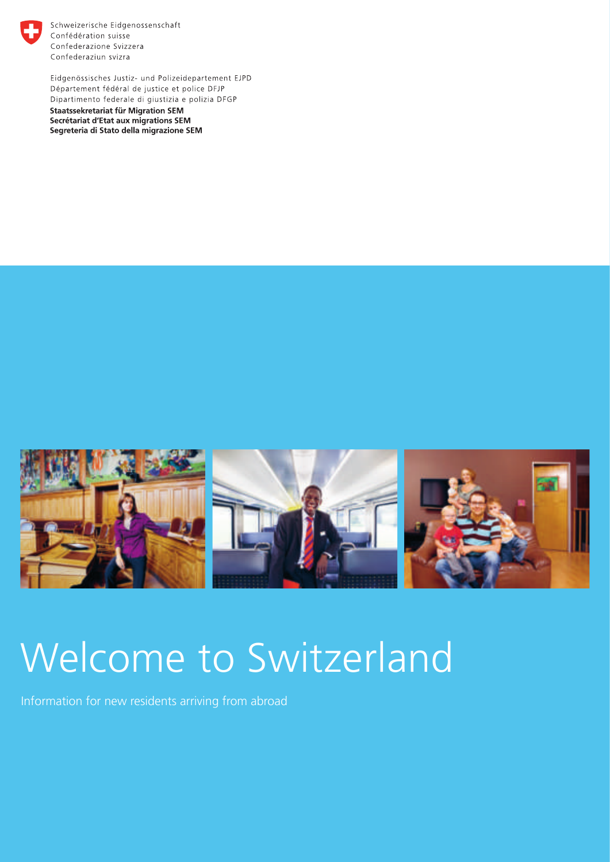

Schweizerische Eidgenossenschaft Confédération suisse Confederazione Svizzera Confederaziun svizra

Eidgenössisches Justiz- und Polizeidepartement EJPD Département fédéral de justice et police DFJP Dipartimento federale di giustizia e polizia DFGP **Staatssekretariat für Migration SEM** Secrétariat d'Etat aux migrations SEM Segreteria di Stato della migrazione SEM



# Welcome to Switzerland

Information for new residents arriving from abroad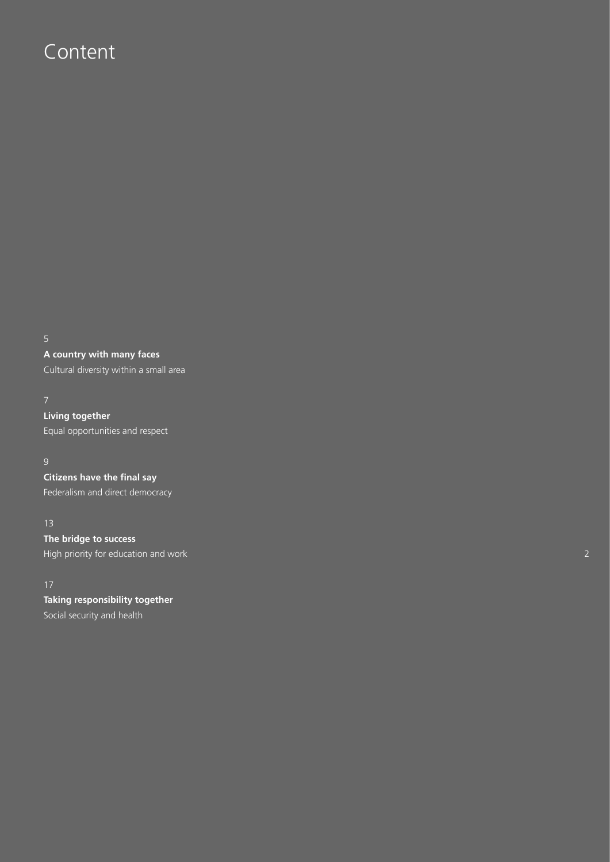## Content

**A country with many faces**

Cultural diversity within a small area

**Living together** Equal opportunities and respect

**Citizens have the final say**

Federalism and direct democracy

#### 13

**The bridge to success** High priority for education and work

**Taking responsibility together** Social security and health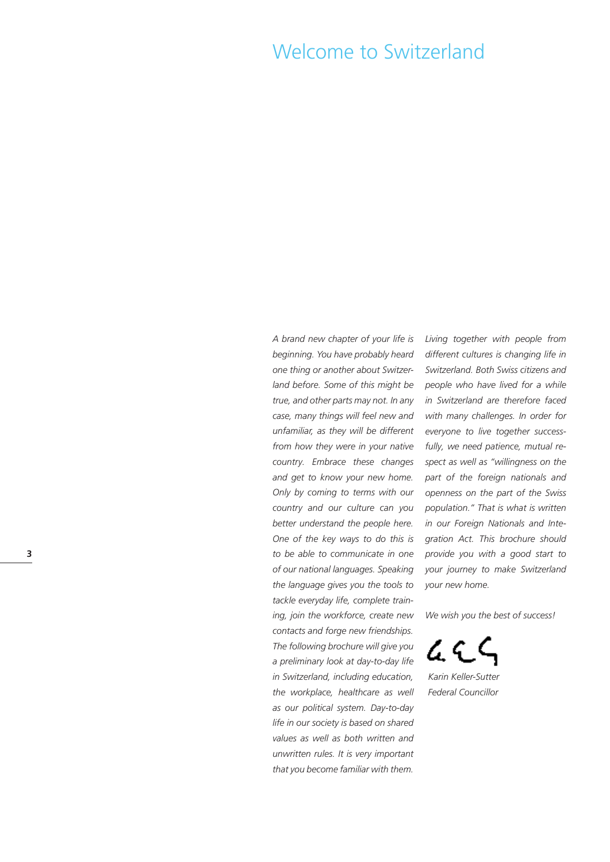## Welcome to Switzerland

*A brand new chapter of your life is beginning. You have probably heard one thing or another about Switzerland before. Some of this might be true, and other parts may not. In any case, many things will feel new and unfamiliar, as they will be different from how they were in your native country. Embrace these changes and get to know your new home. Only by coming to terms with our country and our culture can you better understand the people here. One of the key ways to do this is to be able to communicate in one of our national languages. Speaking the language gives you the tools to tackle everyday life, complete training, join the workforce, create new contacts and forge new friendships. The following brochure will give you a preliminary look at day-to-day life in Switzerland, including education, the workplace, healthcare as well as our political system. Day-to-day life in our society is based on shared values as well as both written and unwritten rules. It is very important that you become familiar with them.*

*Living together with people from different cultures is changing life in Switzerland. Both Swiss citizens and people who have lived for a while in Switzerland are therefore faced with many challenges. In order for everyone to live together successfully, we need patience, mutual respect as well as "willingness on the part of the foreign nationals and openness on the part of the Swiss population." That is what is written in our Foreign Nationals and Integration Act. This brochure should provide you with a good start to your journey to make Switzerland your new home.*

*We wish you the best of success!*

ፈር *Karin Keller-Sutter*

*Federal Councillor*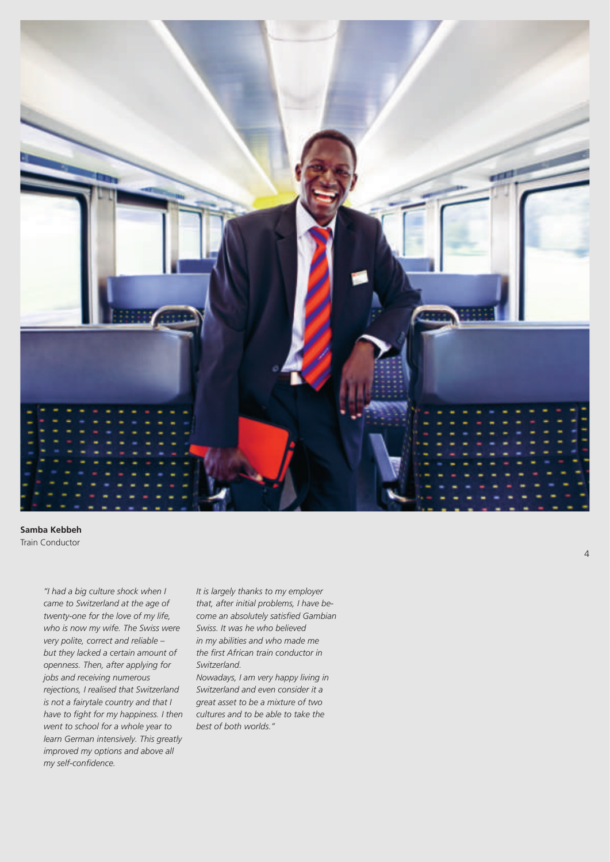

**Samba Kebbeh** Train Conductor

> *"I had a big culture shock when I came to Switzerland at the age of twenty-one for the love of my life, who is now my wife. The Swiss were very polite, correct and reliable – but they lacked a certain amount of openness. Then, after applying for jobs and receiving numerous rejections, I realised that Switzerland is not a fairytale country and that I have to fight for my happiness. I then went to school for a whole year to learn German intensively. This greatly improved my options and above all my self-confidence.*

*It is largely thanks to my employer that, after initial problems, I have become an absolutely satisfied Gambian Swiss. It was he who believed in my abilities and who made me the first African train conductor in Switzerland.*

*Nowadays, I am very happy living in Switzerland and even consider it a great asset to be a mixture of two cultures and to be able to take the best of both worlds."*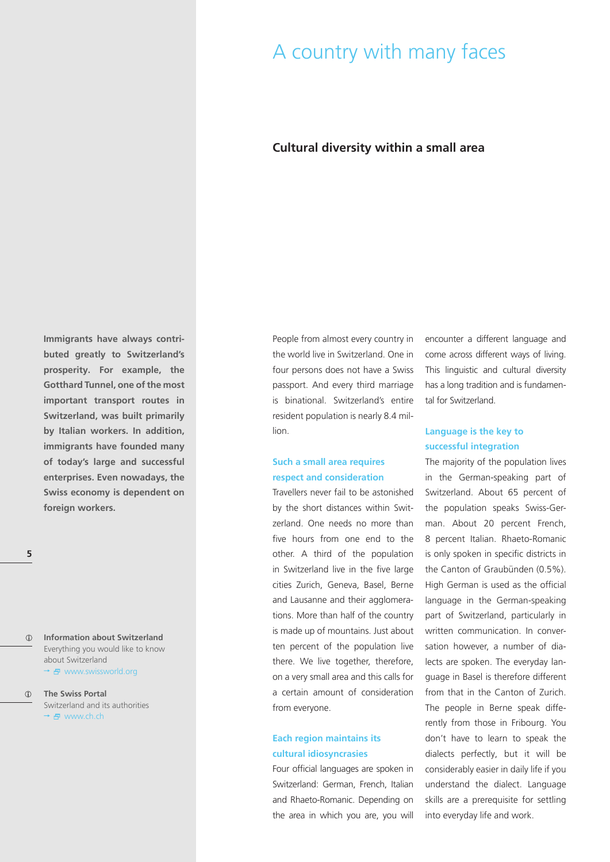## A country with many faces

#### **Cultural diversity within a small area**

**Immigrants have always contributed greatly to Switzerland's prosperity. For example, the Gotthard Tunnel, one of the most important transport routes in Switzerland, was built primarily by Italian workers. In addition, immigrants have founded many of today's large and successful enterprises. Even nowadays, the Swiss economy is dependent on foreign workers.**

**Information about Switzerland**  $\bigcirc$ Everything you would like to know about Switzerland → 日 www.swissworld.org

#### $\bigcap$ **The Swiss Portal** Switzerland and its authorities  $\rightarrow$   $\overline{F}$  www.ch.ch.

People from almost every country in the world live in Switzerland. One in four persons does not have a Swiss passport. And every third marriage is binational. Switzerland's entire resident population is nearly 8.4 million.

#### **Such a small area requires respect and consideration**

Travellers never fail to be astonished by the short distances within Switzerland. One needs no more than five hours from one end to the other. A third of the population in Switzerland live in the five large cities Zurich, Geneva, Basel, Berne and Lausanne and their agglomerations. More than half of the country is made up of mountains. Just about ten percent of the population live there. We live together, therefore, on a very small area and this calls for a certain amount of consideration from everyone.

#### **Each region maintains its cultural idiosyncrasies**

Four official languages are spoken in Switzerland: German, French, Italian and Rhaeto-Romanic. Depending on the area in which you are, you will

encounter a different language and come across different ways of living. This linguistic and cultural diversity has a long tradition and is fundamental for Switzerland.

#### **Language is the key to successful integration**

The majority of the population lives in the German-speaking part of Switzerland. About 65 percent of the population speaks Swiss-German. About 20 percent French, 8 percent Italian. Rhaeto-Romanic is only spoken in specific districts in the Canton of Graubünden (0.5%). High German is used as the official language in the German-speaking part of Switzerland, particularly in written communication. In conversation however, a number of dialects are spoken. The everyday language in Basel is therefore different from that in the Canton of Zurich. The people in Berne speak differently from those in Fribourg. You don't have to learn to speak the dialects perfectly, but it will be considerably easier in daily life if you understand the dialect. Language skills are a prerequisite for settling into everyday life and work.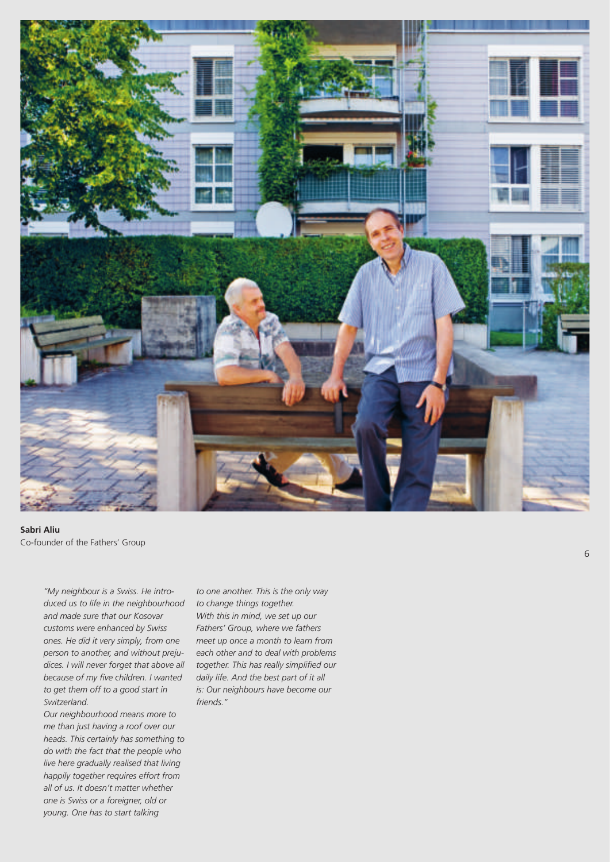

**Sabri Aliu** Co-founder of the Fathers' Group

*"My neighbour is a Swiss. He introduced us to life in the neighbourhood and made sure that our Kosovar customs were enhanced by Swiss ones. He did it very simply, from one person to another, and without prejudices. I will never forget that above all because of my five children. I wanted to get them off to a good start in Switzerland.*

*Our neighbourhood means more to me than just having a roof over our heads. This certainly has something to do with the fact that the people who live here gradually realised that living happily together requires effort from all of us. It doesn't matter whether one is Swiss or a foreigner, old or young. One has to start talking*

*to one another. This is the only way to change things together. With this in mind, we set up our Fathers' Group, where we fathers meet up once a month to learn from each other and to deal with problems together. This has really simplified our daily life. And the best part of it all is: Our neighbours have become our friends."*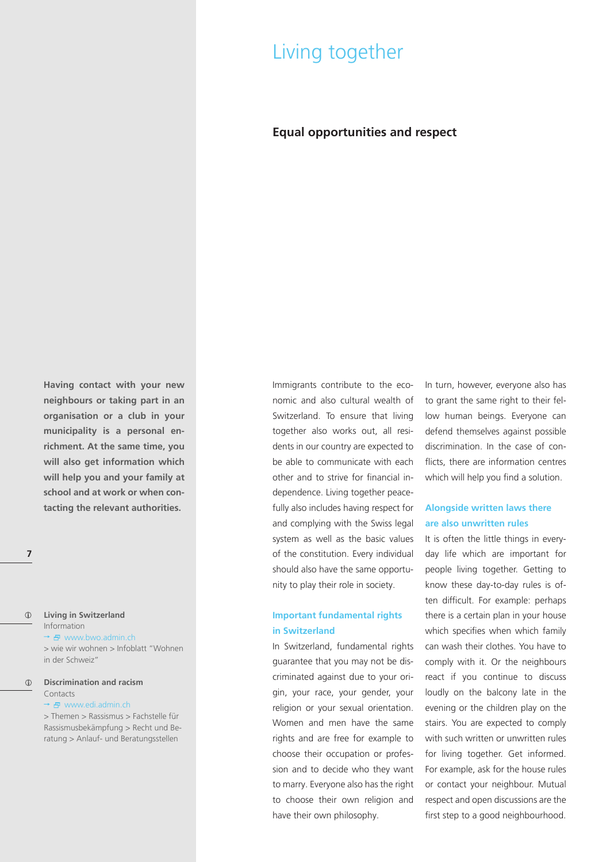## Living together

### **Equal opportunities and respect**

**Having contact with your new neighbours or taking part in an organisation or a club in your municipality is a personal enrichment. At the same time, you will also get information which will help you and your family at school and at work or when contacting the relevant authorities.**

#### $\bigcap$ **Living in Switzerland** Information

 $\rightarrow$   $\oplus$  www.bwo.admin.ch

> wie wir wohnen > Infoblatt "Wohnen in der Schweiz"

#### **Discrimination and racism** Contacts

#### $\rightarrow$   $\overline{B}$  www.edi.admin.ch

> Themen > Rassismus > Fachstelle für Rassismusbekämpfung > Recht und Beratung > Anlauf- und Beratungsstellen

Immigrants contribute to the economic and also cultural wealth of Switzerland. To ensure that living together also works out, all residents in our country are expected to be able to communicate with each other and to strive for financial independence. Living together peacefully also includes having respect for and complying with the Swiss legal system as well as the basic values of the constitution. Every individual should also have the same opportunity to play their role in society.

#### **Important fundamental rights in Switzerland**

In Switzerland, fundamental rights guarantee that you may not be discriminated against due to your origin, your race, your gender, your religion or your sexual orientation. Women and men have the same rights and are free for example to choose their occupation or profession and to decide who they want to marry. Everyone also has the right to choose their own religion and have their own philosophy.

In turn, however, everyone also has to grant the same right to their fellow human beings. Everyone can defend themselves against possible discrimination. In the case of conflicts, there are information centres which will help you find a solution.

#### **Alongside written laws there are also unwritten rules**

It is often the little things in everyday life which are important for people living together. Getting to know these day-to-day rules is often difficult. For example: perhaps there is a certain plan in your house which specifies when which family can wash their clothes. You have to comply with it. Or the neighbours react if you continue to discuss loudly on the balcony late in the evening or the children play on the stairs. You are expected to comply with such written or unwritten rules for living together. Get informed. For example, ask for the house rules or contact your neighbour. Mutual respect and open discussions are the first step to a good neighbourhood.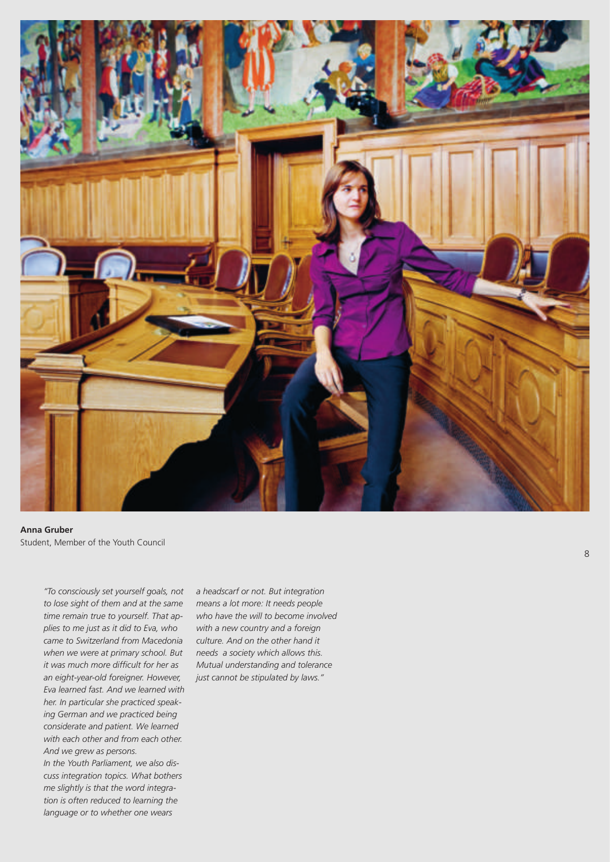

**Anna Gruber** Student, Member of the Youth Council

*"To consciously set yourself goals, not to lose sight of them and at the same time remain true to yourself. That applies to me just as it did to Eva, who came to Switzerland from Macedonia when we were at primary school. But it was much more difficult for her as an eight-year-old foreigner. However, Eva learned fast. And we learned with her. In particular she practiced speaking German and we practiced being considerate and patient. We learned with each other and from each other. And we grew as persons. In the Youth Parliament, we also discuss integration topics. What bothers me slightly is that the word integra-*

*tion is often reduced to learning the language or to whether one wears*

*a headscarf or not. But integration means a lot more: It needs people who have the will to become involved with a new country and a foreign culture. And on the other hand it needs a society which allows this. Mutual understanding and tolerance just cannot be stipulated by laws."*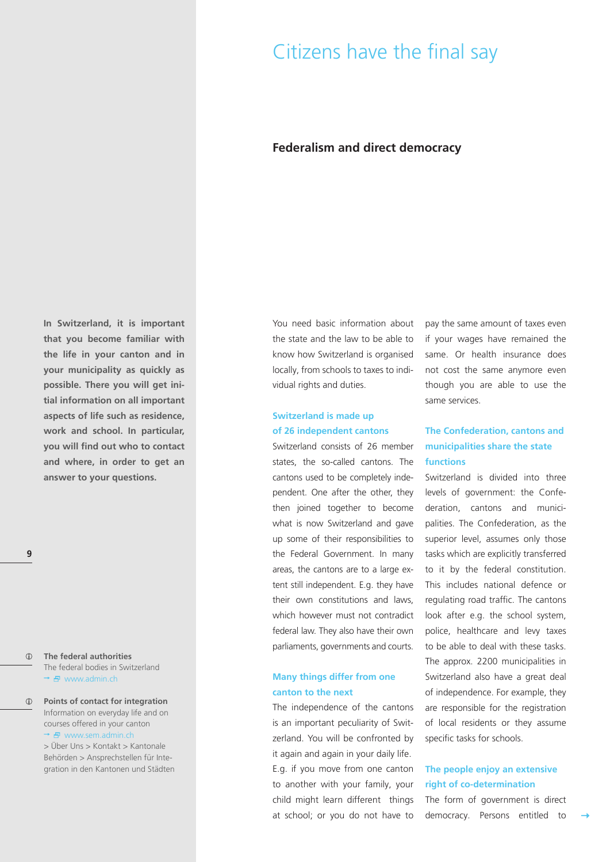## Citizens have the final say

#### **Federalism and direct democracy**

**In Switzerland, it is important that you become familiar with the life in your canton and in your municipality as quickly as possible. There you will get initial information on all important aspects of life such as residence, work and school. In particular, you will find out who to contact and where, in order to get an answer to your questions.**

#### $\binom{2}{1}$ **The federal authorities** The federal bodies in Switzerland  $\rightarrow$   $\oplus$  www.admin.ch

**Points of contact for integration** Information on everyday life and on courses offered in your canton  $\rightarrow$   $\overline{B}$  www.sem.admin.ch

> Über Uns > Kontakt > Kantonale Behörden > Ansprechstellen für Integration in den Kantonen und Städten You need basic information about the state and the law to be able to know how Switzerland is organised locally, from schools to taxes to individual rights and duties.

#### **Switzerland is made up of 26 independent cantons**

Switzerland consists of 26 member states, the so-called cantons. The cantons used to be completely independent. One after the other, they then joined together to become what is now Switzerland and gave up some of their responsibilities to the Federal Government. In many areas, the cantons are to a large extent still independent. E.g. they have their own constitutions and laws, which however must not contradict federal law. They also have their own parliaments, governments and courts.

#### **Many things differ from one canton to the next**

The independence of the cantons is an important peculiarity of Switzerland. You will be confronted by it again and again in your daily life. E.g. if you move from one canton to another with your family, your child might learn different things at school; or you do not have to

pay the same amount of taxes even if your wages have remained the same. Or health insurance does not cost the same anymore even though you are able to use the same services.

### **The Confederation, cantons and municipalities share the state functions**

Switzerland is divided into three levels of government: the Confederation, cantons and municipalities. The Confederation, as the superior level, assumes only those tasks which are explicitly transferred to it by the federal constitution. This includes national defence or regulating road traffic. The cantons look after e.g. the school system, police, healthcare and levy taxes to be able to deal with these tasks. The approx. 2200 municipalities in Switzerland also have a great deal of independence. For example, they are responsible for the registration of local residents or they assume specific tasks for schools.

#### **The people enjoy an extensive right of co-determination**

The form of government is direct democracy. Persons entitled to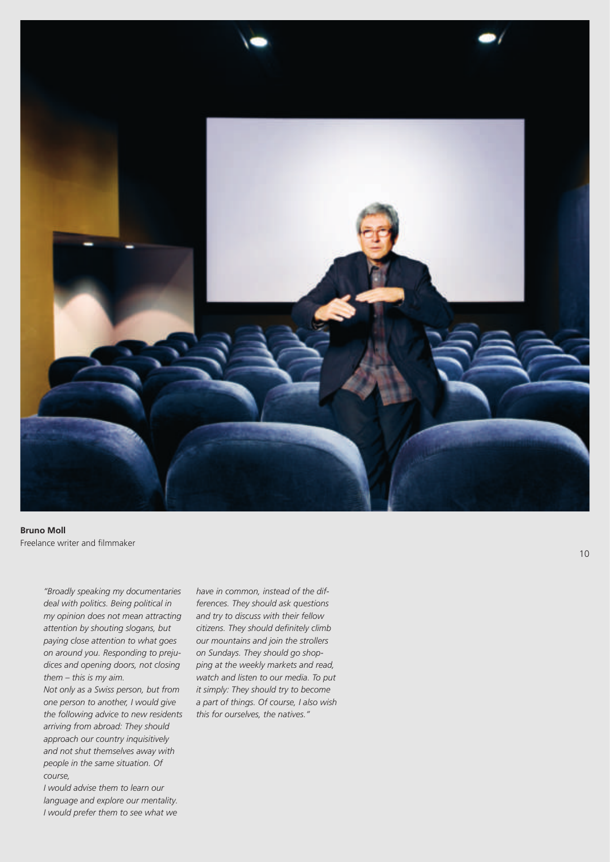

**Bruno Moll** Freelance writer and filmmaker

> *"Broadly speaking my documentaries deal with politics. Being political in my opinion does not mean attracting attention by shouting slogans, but paying close attention to what goes on around you. Responding to prejudices and opening doors, not closing them – this is my aim.*

> *Not only as a Swiss person, but from one person to another, I would give the following advice to new residents arriving from abroad: They should approach our country inquisitively and not shut themselves away with people in the same situation. Of course,*

*I would advise them to learn our language and explore our mentality. I would prefer them to see what we* *have in common, instead of the differences. They should ask questions and try to discuss with their fellow citizens. They should definitely climb our mountains and join the strollers on Sundays. They should go shopping at the weekly markets and read, watch and listen to our media. To put it simply: They should try to become a part of things. Of course, I also wish this for ourselves, the natives."*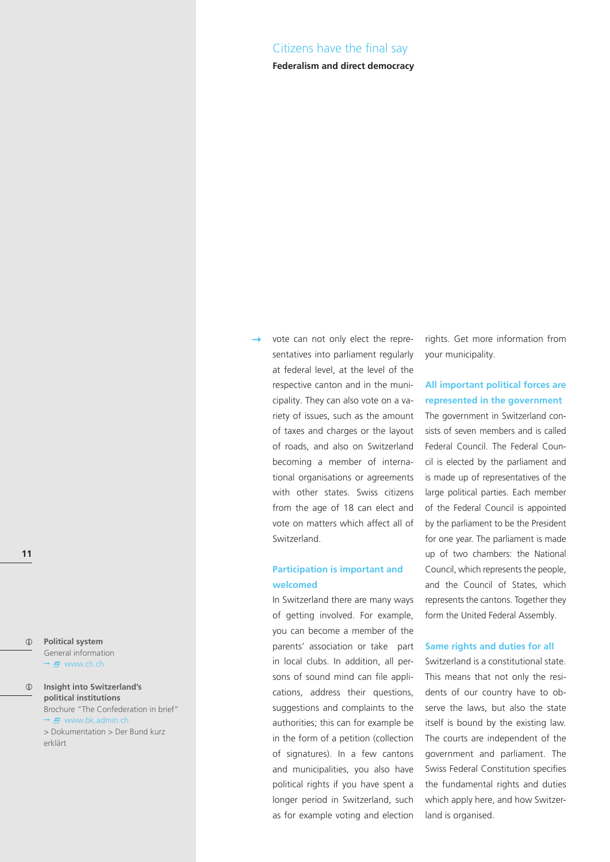#### Citizens have the final say

#### **Federalism and direct democracy**

 $\circled{1}$ **Political system** General information → 日 www.ch.ch

#### **Insight into Switzerland's political institutions** Brochure "The Confederation in brief" → <del>D</del> www.bk.admin.ch > Dokumentation > Der Bund kurz erklärt

vote can not only elect the representatives into parliament regularly at federal level, at the level of the respective canton and in the municipality. They can also vote on a variety of issues, such as the amount of taxes and charges or the layout of roads, and also on Switzerland becoming a member of international organisations or agreements with other states. Swiss citizens from the age of 18 can elect and vote on matters which affect all of Switzerland.

#### **Participation is important and welcomed**

In Switzerland there are many ways of getting involved. For example, you can become a member of the parents' association or take part in local clubs. In addition, all persons of sound mind can file applications, address their questions, suggestions and complaints to the authorities; this can for example be in the form of a petition (collection of signatures). In a few cantons and municipalities, you also have political rights if you have spent a longer period in Switzerland, such as for example voting and election

rights. Get more information from your municipality.

#### **All important political forces are represented in the government**

The government in Switzerland consists of seven members and is called Federal Council. The Federal Council is elected by the parliament and is made up of representatives of the large political parties. Each member of the Federal Council is appointed by the parliament to be the President for one year. The parliament is made up of two chambers: the National Council, which represents the people, and the Council of States, which represents the cantons. Together they form the United Federal Assembly.

#### **Same rights and duties for all**

Switzerland is a constitutional state. This means that not only the residents of our country have to observe the laws, but also the state itself is bound by the existing law. The courts are independent of the government and parliament. The Swiss Federal Constitution specifies the fundamental rights and duties which apply here, and how Switzerland is organised.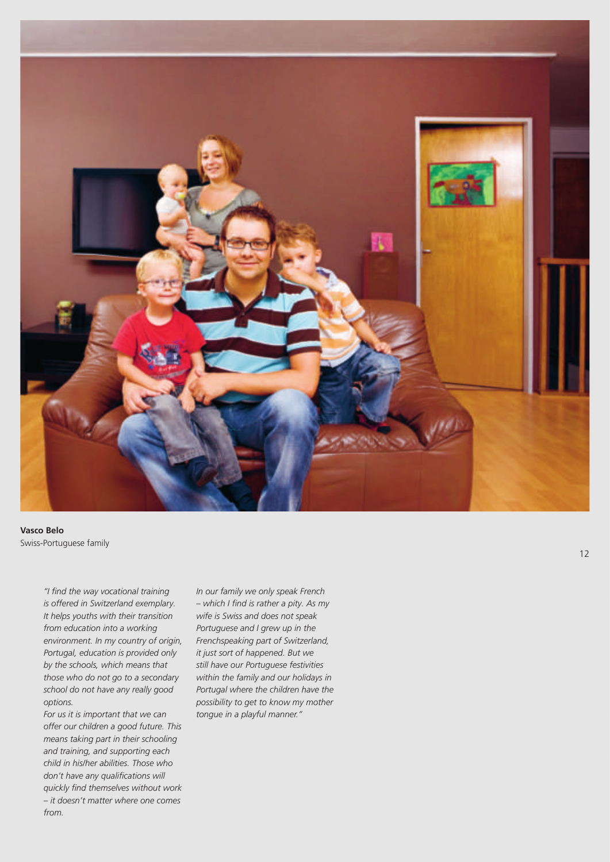

**Vasco Belo** Swiss-Portuguese family

*"I find the way vocational training is offered in Switzerland exemplary. It helps youths with their transition from education into a working environment. In my country of origin, Portugal, education is provided only by the schools, which means that those who do not go to a secondary school do not have any really good options.*

*For us it is important that we can offer our children a good future. This means taking part in their schooling and training, and supporting each child in his/her abilities. Those who don't have any qualifications will quickly find themselves without work – it doesn't matter where one comes from.*

*In our family we only speak French – which I find is rather a pity. As my wife is Swiss and does not speak Portuguese and I grew up in the Frenchspeaking part of Switzerland, it just sort of happened. But we still have our Portuguese festivities within the family and our holidays in Portugal where the children have the possibility to get to know my mother tongue in a playful manner."*

12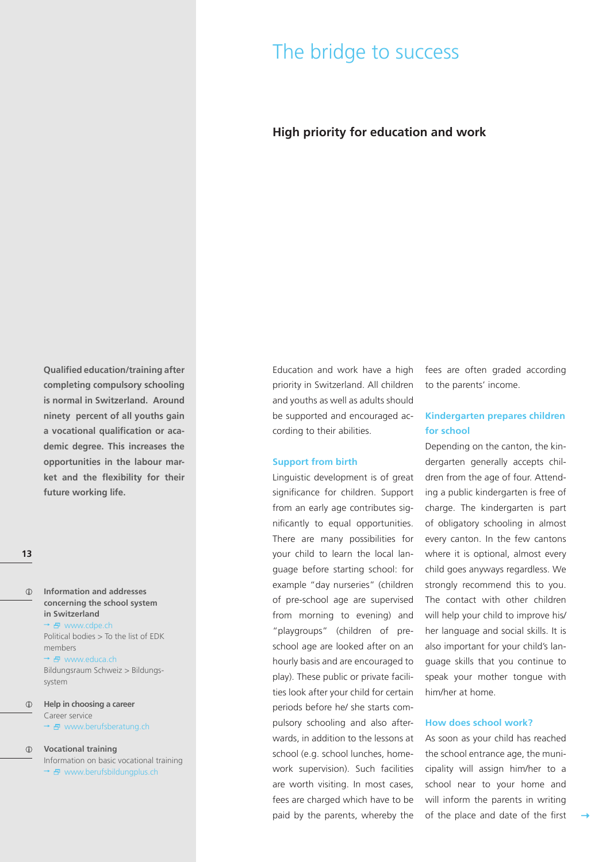## The bridge to success

### **High priority for education and work**

**Qualified education/training after completing compulsory schooling is normal in Switzerland. Around ninety percent of all youths gain a vocational qualification or academic degree. This increases the opportunities in the labour market and the flexibility for their future working life.**

#### **13**

 $\odot$ **Information and addresses concerning the school system in Switzerland** → 日 www.cdpe.ch Political bodies > To the list of EDK members

> → B www.educa.ch Bildungsraum Schweiz > Bildungssystem

**Help in choosing a career** Career service  $\rightarrow$   $\oplus$  www.berufsberatung.ch

**Vocational training** Information on basic vocational training

 $\rightarrow$   $\oplus$  www.berufsbildungplus.ch

Education and work have a high priority in Switzerland. All children and youths as well as adults should be supported and encouraged according to their abilities.

#### **Support from birth**

Linguistic development is of great significance for children. Support from an early age contributes significantly to equal opportunities. There are many possibilities for your child to learn the local language before starting school: for example "day nurseries" (children of pre-school age are supervised from morning to evening) and "playgroups" (children of preschool age are looked after on an hourly basis and are encouraged to play). These public or private facilities look after your child for certain periods before he/ she starts compulsory schooling and also afterwards, in addition to the lessons at school (e.g. school lunches, homework supervision). Such facilities are worth visiting. In most cases, fees are charged which have to be paid by the parents, whereby the fees are often graded according to the parents' income.

#### **Kindergarten prepares children for school**

Depending on the canton, the kindergarten generally accepts children from the age of four. Attending a public kindergarten is free of charge. The kindergarten is part of obligatory schooling in almost every canton. In the few cantons where it is optional, almost every child goes anyways regardless. We strongly recommend this to you. The contact with other children will help your child to improve his/ her language and social skills. It is also important for your child's language skills that you continue to speak your mother tongue with him/her at home.

#### **How does school work?**

As soon as your child has reached the school entrance age, the municipality will assign him/her to a school near to your home and will inform the parents in writing of the place and date of the first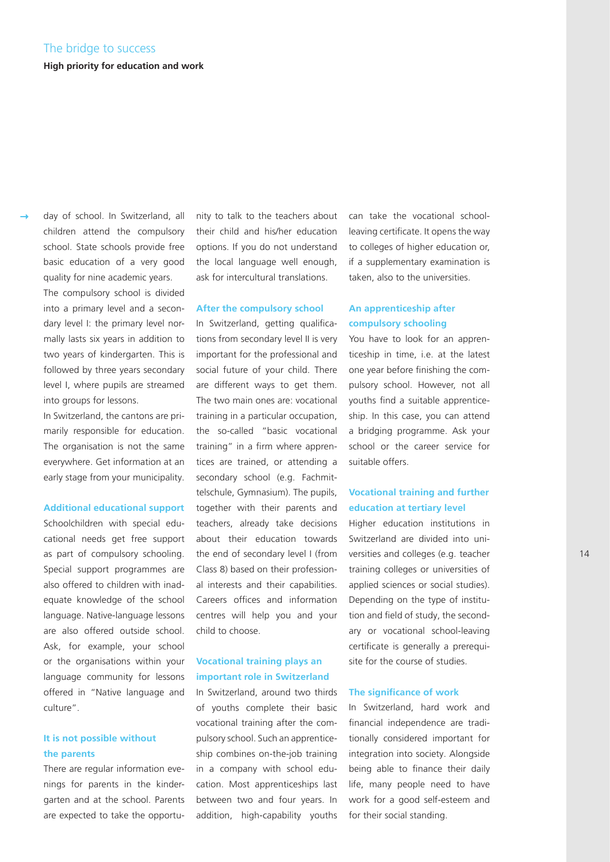day of school. In Switzerland, all children attend the compulsory school. State schools provide free basic education of a very good quality for nine academic years. The compulsory school is divided into a primary level and a secondary level I: the primary level normally lasts six years in addition to two years of kindergarten. This is followed by three years secondary level I, where pupils are streamed into groups for lessons.

In Switzerland, the cantons are primarily responsible for education. The organisation is not the same everywhere. Get information at an early stage from your municipality.

#### **Additional educational support**

Schoolchildren with special educational needs get free support as part of compulsory schooling. Special support programmes are also offered to children with inadequate knowledge of the school language. Native-language lessons are also offered outside school. Ask, for example, your school or the organisations within your language community for lessons offered in "Native language and culture".

#### **It is not possible without the parents**

There are regular information evenings for parents in the kindergarten and at the school. Parents are expected to take the opportunity to talk to the teachers about their child and his/her education options. If you do not understand the local language well enough, ask for intercultural translations.

#### **After the compulsory school**

In Switzerland, getting qualifications from secondary level II is very important for the professional and social future of your child. There are different ways to get them. The two main ones are: vocational training in a particular occupation, the so-called "basic vocational training" in a firm where apprentices are trained, or attending a secondary school (e.g. Fachmittelschule, Gymnasium). The pupils, together with their parents and teachers, already take decisions about their education towards the end of secondary level I (from Class 8) based on their professional interests and their capabilities. Careers offices and information centres will help you and your child to choose.

#### **Vocational training plays an important role in Switzerland**

In Switzerland, around two thirds of youths complete their basic vocational training after the compulsory school. Such an apprenticeship combines on-the-job training in a company with school education. Most apprenticeships last between two and four years. In addition, high-capability youths

can take the vocational schoolleaving certificate. It opens the way to colleges of higher education or, if a supplementary examination is taken, also to the universities.

#### **An apprenticeship after compulsory schooling**

You have to look for an apprenticeship in time, i.e. at the latest one year before finishing the compulsory school. However, not all youths find a suitable apprenticeship. In this case, you can attend a bridging programme. Ask your school or the career service for suitable offers.

#### **Vocational training and further education at tertiary level**

Higher education institutions in Switzerland are divided into universities and colleges (e.g. teacher training colleges or universities of applied sciences or social studies). Depending on the type of institution and field of study, the secondary or vocational school-leaving certificate is generally a prerequisite for the course of studies.

#### **The significance of work**

In Switzerland, hard work and financial independence are traditionally considered important for integration into society. Alongside being able to finance their daily life, many people need to have work for a good self-esteem and for their social standing.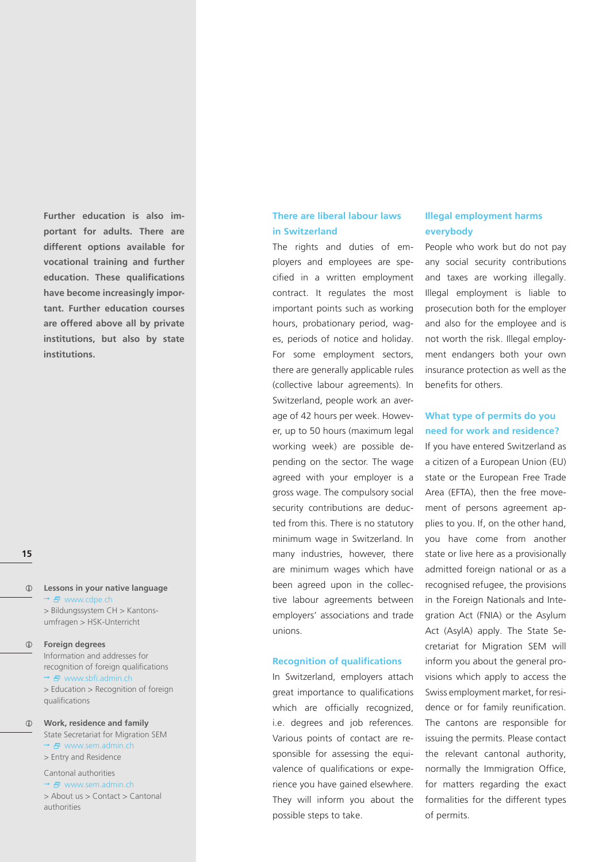**Further education is also important for adults. There are different options available for vocational training and further education. These qualifications have become increasingly important. Further education courses are offered above all by private institutions, but also by state institutions.**

#### **15**

 $\binom{1}{1}$ **Lessons in your native language** → *B* www.cdpe.ch > Bildungssystem CH > Kantonsumfragen > HSK-Unterricht

#### $\circ$ **Foreign degrees**

Information and addresses for recognition of foreign qualifications \* 日 www.sbfi.admin.ch > Education > Recognition of foreign qualifications

 $\bigcirc$ **Work, residence and family** State Secretariat for Migration SEM → B www.sem.admin.ch > Entry and Residence

#### Cantonal authorities

→ 日 www.sem.admin.ch > About us > Contact > Cantonal authorities

#### **There are liberal labour laws in Switzerland**

The rights and duties of employers and employees are specified in a written employment contract. It regulates the most important points such as working hours, probationary period, wages, periods of notice and holiday. For some employment sectors, there are generally applicable rules (collective labour agreements). In Switzerland, people work an average of 42 hours per week. However, up to 50 hours (maximum legal working week) are possible depending on the sector. The wage agreed with your employer is a gross wage. The compulsory social security contributions are deducted from this. There is no statutory minimum wage in Switzerland. In many industries, however, there are minimum wages which have been agreed upon in the collective labour agreements between employers' associations and trade unions.

#### **Recognition of qualifications**

In Switzerland, employers attach great importance to qualifications which are officially recognized, i.e. degrees and job references. Various points of contact are responsible for assessing the equivalence of qualifications or experience you have gained elsewhere. They will inform you about the possible steps to take.

#### **Illegal employment harms everybody**

People who work but do not pay any social security contributions and taxes are working illegally. Illegal employment is liable to prosecution both for the employer and also for the employee and is not worth the risk. Illegal employment endangers both your own insurance protection as well as the benefits for others.

#### **What type of permits do you need for work and residence?**

If you have entered Switzerland as a citizen of a European Union (EU) state or the European Free Trade Area (EFTA), then the free movement of persons agreement applies to you. If, on the other hand, you have come from another state or live here as a provisionally admitted foreign national or as a recognised refugee, the provisions in the Foreign Nationals and Integration Act (FNIA) or the Asylum Act (AsylA) apply. The State Secretariat for Migration SEM will inform you about the general provisions which apply to access the Swiss employment market, for residence or for family reunification. The cantons are responsible for issuing the permits. Please contact the relevant cantonal authority, normally the Immigration Office, for matters regarding the exact formalities for the different types of permits.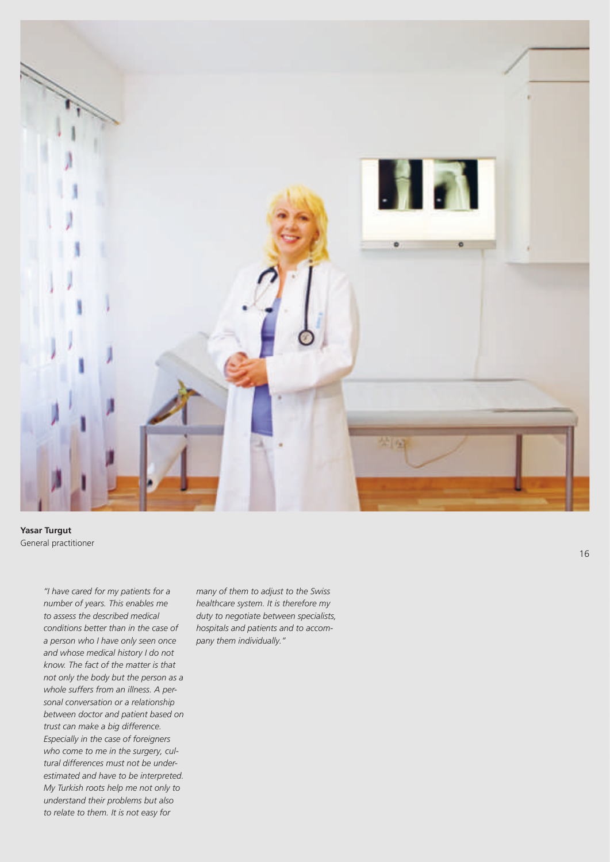

**Yasar Turgut** General practitioner

*"I have cared for my patients for a number of years. This enables me to assess the described medical conditions better than in the case of a person who I have only seen once and whose medical history I do not know. The fact of the matter is that not only the body but the person as a whole suffers from an illness. A personal conversation or a relationship between doctor and patient based on trust can make a big difference. Especially in the case of foreigners who come to me in the surgery, cultural differences must not be underestimated and have to be interpreted. My Turkish roots help me not only to understand their problems but also to relate to them. It is not easy for*

*many of them to adjust to the Swiss healthcare system. It is therefore my duty to negotiate between specialists, hospitals and patients and to accompany them individually."*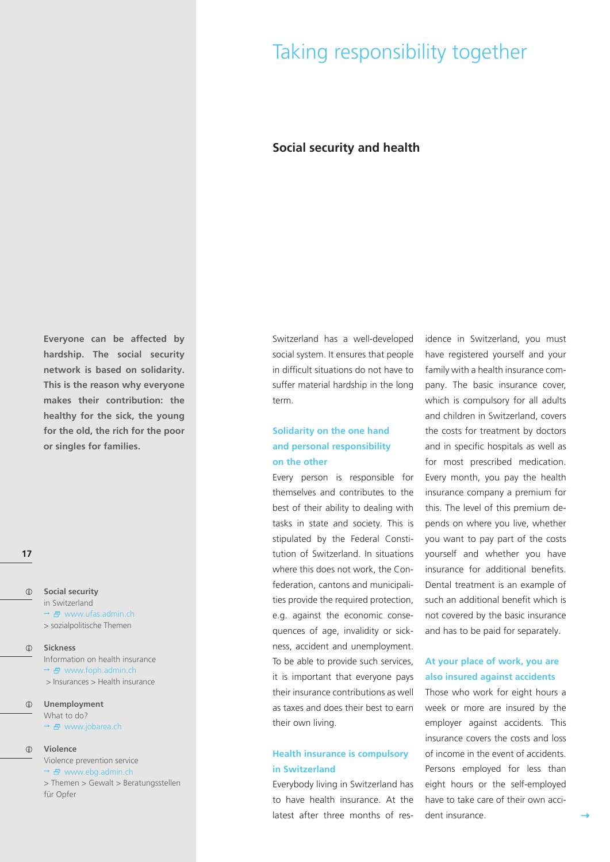## Taking responsibility together

#### **Social security and health**

**Everyone can be affected by hardship. The social security network is based on solidarity. This is the reason why everyone makes their contribution: the healthy for the sick, the young for the old, the rich for the poor or singles for families.**

**17**

- $\odot$ **Social security** in Switzerland  $\rightarrow$   $\oplus$  www.ufas.admin.ch > sozialpolitische Themen
- $\bigcirc$ **Sickness**

Information on health insurance  $\rightarrow$   $\overline{F}$  www.foph.admin.ch > Insurances > Health insurance

**Unemployment** What to do? → 日 www.jobarea.ch

#### **Violence**

Violence prevention service  $\rightarrow$   $\oplus$  www.ebg.admin.ch > Themen > Gewalt > Beratungsstellen für Opfer

Switzerland has a well-developed social system. It ensures that people in difficult situations do not have to suffer material hardship in the long term.

#### **Solidarity on the one hand and personal responsibility on the other**

Every person is responsible for themselves and contributes to the best of their ability to dealing with tasks in state and society. This is stipulated by the Federal Constitution of Switzerland. In situations where this does not work, the Confederation, cantons and municipalities provide the required protection, e.g. against the economic consequences of age, invalidity or sickness, accident and unemployment. To be able to provide such services, it is important that everyone pays their insurance contributions as well as taxes and does their best to earn their own living.

#### **Health insurance is compulsory in Switzerland**

Everybody living in Switzerland has to have health insurance. At the latest after three months of residence in Switzerland, you must have registered yourself and your family with a health insurance company. The basic insurance cover, which is compulsory for all adults and children in Switzerland, covers the costs for treatment by doctors and in specific hospitals as well as for most prescribed medication. Every month, you pay the health insurance company a premium for this. The level of this premium depends on where you live, whether you want to pay part of the costs yourself and whether you have insurance for additional benefits. Dental treatment is an example of such an additional benefit which is not covered by the basic insurance and has to be paid for separately.

#### **At your place of work, you are also insured against accidents**

Those who work for eight hours a week or more are insured by the employer against accidents. This insurance covers the costs and loss of income in the event of accidents. Persons employed for less than eight hours or the self-employed have to take care of their own accident insurance.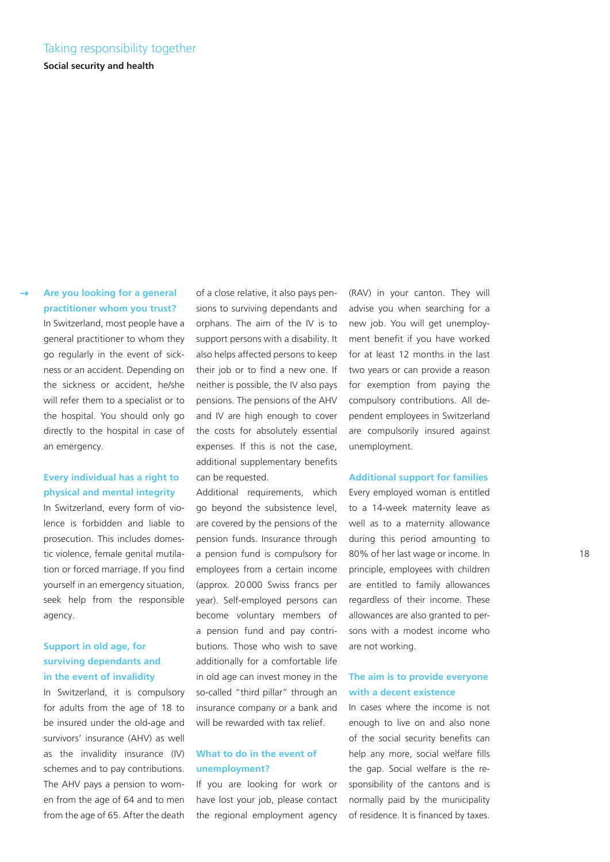### Taking responsibility together

**Social security and health**

#### **Are you looking for a general practitioner whom you trust?**

In Switzerland, most people have a general practitioner to whom they go regularly in the event of sickness or an accident. Depending on the sickness or accident, he/she will refer them to a specialist or to the hospital. You should only go directly to the hospital in case of an emergency.

#### **Every individual has a right to physical and mental integrity**

In Switzerland, every form of violence is forbidden and liable to prosecution. This includes domestic violence, female genital mutilation or forced marriage. If you find yourself in an emergency situation, seek help from the responsible agency.

#### **Support in old age, for surviving dependants and in the event of invalidity**

In Switzerland, it is compulsory for adults from the age of 18 to be insured under the old-age and survivors' insurance (AHV) as well as the invalidity insurance (IV) schemes and to pay contributions. The AHV pays a pension to women from the age of 64 and to men from the age of 65. After the death

of a close relative, it also pays pensions to surviving dependants and orphans. The aim of the IV is to support persons with a disability. It also helps affected persons to keep their job or to find a new one. If neither is possible, the IV also pays pensions. The pensions of the AHV and IV are high enough to cover the costs for absolutely essential expenses. If this is not the case, additional supplementary benefits can be requested.

Additional requirements, which go beyond the subsistence level, are covered by the pensions of the pension funds. Insurance through a pension fund is compulsory for employees from a certain income (approx. 20000 Swiss francs per year). Self-employed persons can become voluntary members of a pension fund and pay contributions. Those who wish to save additionally for a comfortable life in old age can invest money in the so-called "third pillar" through an insurance company or a bank and will be rewarded with tax relief.

#### **What to do in the event of unemployment?**

If you are looking for work or have lost your job, please contact the regional employment agency

(RAV) in your canton. They will advise you when searching for a new job. You will get unemployment benefit if you have worked for at least 12 months in the last two years or can provide a reason for exemption from paying the compulsory contributions. All dependent employees in Switzerland are compulsorily insured against unemployment.

#### **Additional support for families**

Every employed woman is entitled to a 14-week maternity leave as well as to a maternity allowance during this period amounting to 80% of her last wage or income. In principle, employees with children are entitled to family allowances regardless of their income. These allowances are also granted to persons with a modest income who are not working.

#### **The aim is to provide everyone with a decent existence**

In cases where the income is not enough to live on and also none of the social security benefits can help any more, social welfare fills the gap. Social welfare is the responsibility of the cantons and is normally paid by the municipality of residence. It is financed by taxes.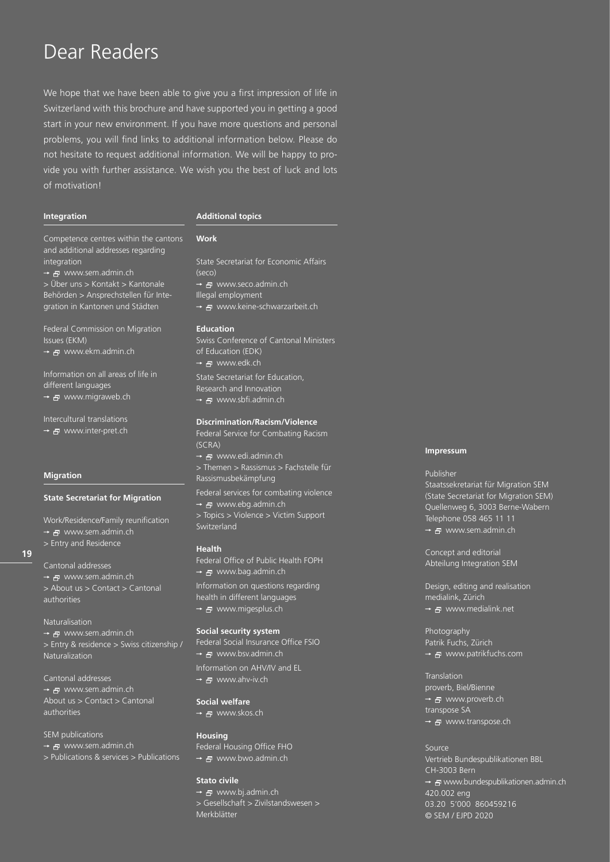## Dear Readers

We hope that we have been able to give you a first impression of life in Switzerland with this brochure and have supported you in getting a good start in your new environment. If you have more questions and personal problems, you will find links to additional information below. Please do not hesitate to request additional information. We will be happy to provide you with further assistance. We wish you the best of luck and lots of motivation!

#### **Integration**

#### **Additional topics**

**Work**

Competence centres within the cantons and additional addresses regarding integration

→ <del>P</del> www.sem.admin.ch > Über uns > Kontakt > Kantonale Behörden > Ansprechstellen für Integration in Kantonen und Städten

Federal Commission on Migration Issues (EKM)

→ a www.ekm.admin.ch

Information on all areas of life in different languages

→ 日 www.migraweb.ch

Intercultural translations → 日 www.inter-pret.ch

#### **Migration**

#### **State Secretariat for Migration**

Work/Residence/Family reunification → 日 www.sem.admin.ch > Entry and Residence

### **19**

Cantonal addresses → 日 www.sem.admin.ch > About us > Contact > Cantonal authorities

#### Naturalisation

→ 日 www.sem.admin.ch > Entry & residence > Swiss citizenship / Naturalization

Cantonal addresses • 日 www.sem.admin.ch

About us > Contact > Cantonal authorities

SEM publications

- → 日 www.sem.admin.ch
- > Publications & services > Publications

State Secretariat for Economic Affairs (seco) → 日 www.seco.admin.ch Illegal employment → 日 www.keine-schwarzarbeit.ch

#### **Education**

Swiss Conference of Cantonal Ministers of Education (EDK) → 日 www.edk.ch State Secretariat for Education, Research and Innovation → 日 www.sbfi.admin.ch

#### **Discrimination/Racism/Violence**

Federal Service for Combating Racism (SCRA) → A www.edi.admin.ch > Themen > Rassismus > Fachstelle für Rassismusbekämpfung Federal services for combating violence e www.ebg.admin.ch > Topics > Violence > Victim Support Switzerland

#### **Health**

Federal Office of Public Health FOPH → 日 www.bag.admin.ch Information on questions regarding health in different languages → a www.migesplus.ch

#### **Social security system**

Federal Social Insurance Office FSIO  $\rightarrow$   $\overline{B}$  www.bsv.admin.ch Information on AHV/IV and EL → <del>P</del> www.ahv-iv.ch

### **Social welfare**

→ 日 www.skos.ch

#### **Housing** Federal Housing Office FHO

→ 日 www.bwo.admin.ch

#### **Stato civile**

 $\rightarrow$   $\overline{B}$  www.bj.admin.ch > Gesellschaft > Zivilstandswesen > Merkblätter

#### **Impressum**

#### Publisher

Staatssekretariat für Migration SEM (State Secretariat for Migration SEM) Quellenweg 6, 3003 Berne-Wabern Telephone 058 465 11 11 → 日 www.sem.admin.ch

Concept and editorial Abteilung Integration SEM

Design, editing and realisation medialink, Zürich → 日 www.medialink.net

Photography Patrik Fuchs, Zürich → 日 www.patrikfuchs.com

Translation proverb, Biel/Bienne → 日 www.proverb.ch transpose SA → 日 www.transpose.ch

Source Vertrieb Bundespublikationen BBL CH-3003 Bern → 日 www.bundespublikationen.admin.ch 420.002 eng © SEM / EJPD 2020 03.20 5'000 860459216